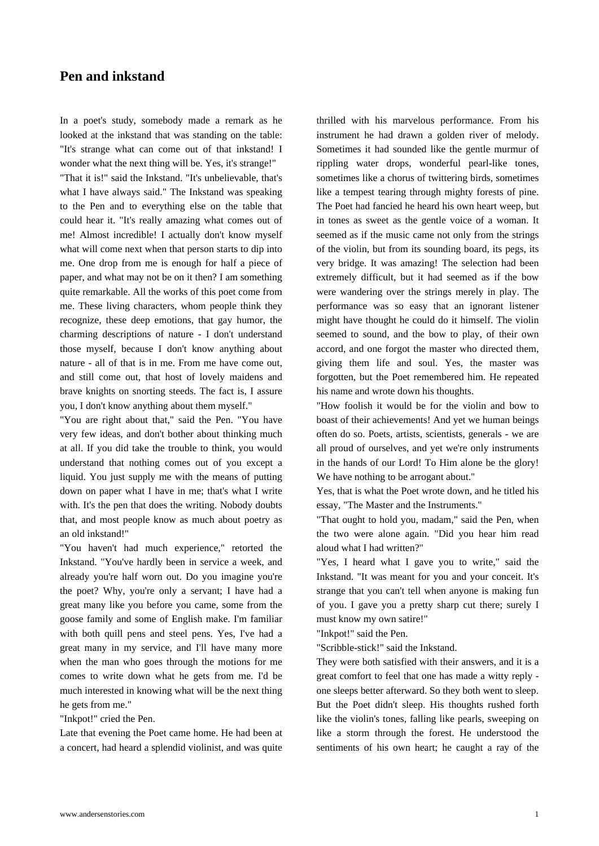## **Pen and inkstand**

[In a poet](https://www.andersenstories.com/en/andersen_fairy-tales/pen_and_inkstand)'[s study, someb](https://www.andersenstories.com/en/andersen_fairy-tales/pen_and_inkstand)ody made a remark as he looked at the inkstand that was standing on the table: "It's strange what can come out of that inkstand! I wonder what the next thing will be. Yes, it's strange!" "That it is!" said the Inkstand. "It's unbelievable, that's what I have always said." The Inkstand was speaking to the Pen and to everything else on the table that could hear it. "It's really amazing what comes out of me! Almost incredible! I actually don't know myself what will come next when that person starts to dip into me. One drop from me is enough for half a piece of paper, and what may not be on it then? I am something quite remarkable. All the works of this poet come from me. These living characters, whom people think they recognize, these deep emotions, that gay humor, the charming descriptions of nature - I don't understand those myself, because I don't know anything about nature - all of that is in me. From me have come out, and still come out, that host of lovely maidens and brave knights on snorting steeds. The fact is, I assure you, I don't know anything about them myself."

"You are right about that," said the Pen. "You have very few ideas, and don't bother about thinking much at all. If you did take the trouble to think, you would understand that nothing comes out of you except a liquid. You just supply me with the means of putting down on paper what I have in me; that's what I write with. It's the pen that does the writing. Nobody doubts that, and most people know as much about poetry as an old inkstand!"

"You haven't had much experience," retorted the Inkstand. "You've hardly been in service a week, and already you're half worn out. Do you imagine you're the poet? Why, you're only a servant; I have had a great many like you before you came, some from the goose family and some of English make. I'm familiar with both quill pens and steel pens. Yes, I've had a great many in my service, and I'll have many more when the man who goes through the motions for me comes to write down what he gets from me. I'd be much interested in knowing what will be the next thing he gets from me."

"Inkpot!" cried the Pen.

Late that evening the Poet came home. He had been at a concert, had heard a splendid violinist, and was quite thrilled with his marvelous performance. From his instrument he had drawn a golden river of melody. Sometimes it had sounded like the gentle murmur of rippling water drops, wonderful pearl-like tones, sometimes like a chorus of twittering birds, sometimes like a tempest tearing through mighty forests of pine. The Poet had fancied he heard his own heart weep, but in tones as sweet as the gentle voice of a woman. It seemed as if the music came not only from the strings of the violin, but from its sounding board, its pegs, its very bridge. It was amazing! The selection had been extremely difficult, but it had seemed as if the bow were wandering over the strings merely in play. The performance was so easy that an ignorant listener might have thought he could do it himself. The violin seemed to sound, and the bow to play, of their own accord, and one forgot the master who directed them, giving them life and soul. Yes, the master was forgotten, but the Poet remembered him. He repeated his name and wrote down his thoughts.

"How foolish it would be for the violin and bow to boast of their achievements! And yet we human beings often do so. Poets, artists, scientists, generals - we are all proud of ourselves, and yet we're only instruments in the hands of our Lord! To Him alone be the glory! We have nothing to be arrogant about."

Yes, that is what the Poet wrote down, and he titled his essay, "The Master and the Instruments."

"That ought to hold you, madam," said the Pen, when the two were alone again. "Did you hear him read aloud what I had written?"

"Yes, I heard what I gave you to write," said the Inkstand. "It was meant for you and your conceit. It's strange that you can't tell when anyone is making fun of you. I gave you a pretty sharp cut there; surely I must know my own satire!"

"Inkpot!" said the Pen.

"Scribble-stick!" said the Inkstand.

They were both satisfied with their answers, and it is a great comfort to feel that one has made a witty reply one sleeps better afterward. So they both went to sleep. But the Poet didn't sleep. His thoughts rushed forth like the violin's tones, falling like pearls, sweeping on like a storm through the forest. He understood the sentiments of his own heart; he caught a ray of the